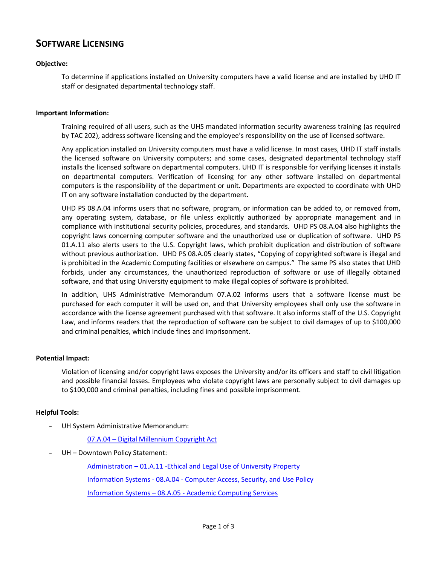# **SOFTWARE LICENSING**

# **Objective:**

To determine if applications installed on University computers have a valid license and are installed by UHD IT staff or designated departmental technology staff.

#### **Important Information:**

Training required of all users, such as the UHS mandated information security awareness training (as required by TAC 202), address software licensing and the employee's responsibility on the use of licensed software.

Any application installed on University computers must have a valid license. In most cases, UHD IT staff installs the licensed software on University computers; and some cases, designated departmental technology staff installs the licensed software on departmental computers. UHD IT is responsible for verifying licenses it installs on departmental computers. Verification of licensing for any other software installed on departmental computers is the responsibility of the department or unit. Departments are expected to coordinate with UHD IT on any software installation conducted by the department.

UHD PS 08.A.04 informs users that no software, program, or information can be added to, or removed from, any operating system, database, or file unless explicitly authorized by appropriate management and in compliance with institutional security policies, procedures, and standards. UHD PS 08.A.04 also highlights the copyright laws concerning computer software and the unauthorized use or duplication of software. UHD PS 01.A.11 also alerts users to the U.S. Copyright laws, which prohibit duplication and distribution of software without previous authorization. UHD PS 08.A.05 clearly states, "Copying of copyrighted software is illegal and is prohibited in the Academic Computing facilities or elsewhere on campus." The same PS also states that UHD forbids, under any circumstances, the unauthorized reproduction of software or use of illegally obtained software, and that using University equipment to make illegal copies of software is prohibited.

In addition, UHS Administrative Memorandum 07.A.02 informs users that a software license must be purchased for each computer it will be used on, and that University employees shall only use the software in accordance with the license agreement purchased with that software. It also informs staff of the U.S. Copyright Law, and informs readers that the reproduction of software can be subject to civil damages of up to \$100,000 and criminal penalties, which include fines and imprisonment.

# **Potential Impact:**

Violation of licensing and/or copyright laws exposes the University and/or its officers and staff to civil litigation and possible financial losses. Employees who violate copyright laws are personally subject to civil damages up to \$100,000 and criminal penalties, including fines and possible imprisonment.

# **Helpful Tools:**

- UH System Administrative Memorandum:

07.A.04 – [Digital Millennium Copyright Act](http://www.uh.edu/af/universityservices/policies/sam/7InfoServices/7A4.pdf)

UH - Downtown Policy Statement:

Administration – [01.A.11 -Ethical and Legal Use of University Property](http://www.uhd.edu/about/hr/PS01A11.pdf) Information Systems - 08.A.04 - [Computer Access, Security, and Use Policy](http://www.uhd.edu/about/hr/PS08A04.pdf) Information Systems – 08.A.05 - [Academic Computing Services](http://www.uhd.edu/about/hr/PS08A05.pdf)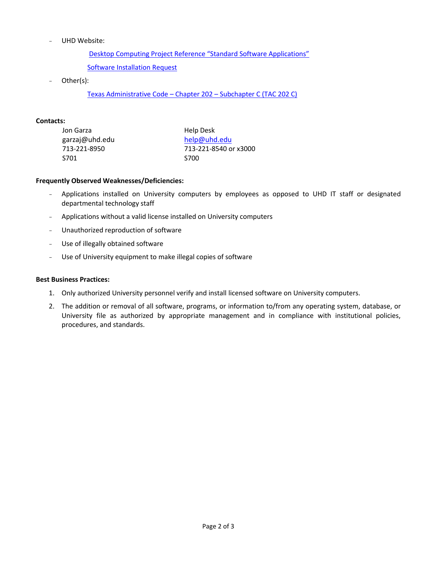- UHD Website:

Desktop Computing Project R[eference "Standard Software Applications"](http://www.uhd.edu/computing/helpdesk/uhdp.html)

[Software Installation Request](http://www.uhd.edu/computing/acl/SoftwareInstallationRequest.html)

Other(s):

[Texas Administrative Code](http://info.sos.state.tx.us/pls/pub/readtac$ext.ViewTAC?tac_view=5&ti=1&pt=10&ch=202&sch=C&rl=Y) – Chapter 202 – Subchapter C (TAC 202 C)

# **Contacts:**

| Jon Garza      | Help Desk             |  |  |
|----------------|-----------------------|--|--|
| garzaj@uhd.edu | help@uhd.edu          |  |  |
| 713-221-8950   | 713-221-8540 or x3000 |  |  |
| S701           | <b>S700</b>           |  |  |

#### **Frequently Observed Weaknesses/Deficiencies:**

- Applications installed on University computers by employees as opposed to UHD IT staff or designated departmental technology staff
- Applications without a valid license installed on University computers
- Unauthorized reproduction of software
- Use of illegally obtained software
- Use of University equipment to make illegal copies of software

#### **Best Business Practices:**

- 1. Only authorized University personnel verify and install licensed software on University computers.
- 2. The addition or removal of all software, programs, or information to/from any operating system, database, or University file as authorized by appropriate management and in compliance with institutional policies, procedures, and standards.